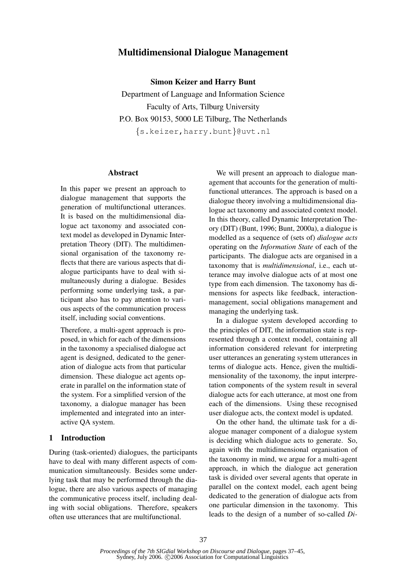# Multidimensional Dialogue Management

Simon Keizer and Harry Bunt

Department of Language and Information Science Faculty of Arts, Tilburg University P.O. Box 90153, 5000 LE Tilburg, The Netherlands {s.keizer,harry.bunt}@uvt.nl

### **Abstract**

In this paper we present an approach to dialogue management that supports the generation of multifunctional utterances. It is based on the multidimensional dialogue act taxonomy and associated context model as developed in Dynamic Interpretation Theory (DIT). The multidimensional organisation of the taxonomy reflects that there are various aspects that dialogue participants have to deal with simultaneously during a dialogue. Besides performing some underlying task, a participant also has to pay attention to various aspects of the communication process itself, including social conventions.

Therefore, a multi-agent approach is proposed, in which for each of the dimensions in the taxonomy a specialised dialogue act agent is designed, dedicated to the generation of dialogue acts from that particular dimension. These dialogue act agents operate in parallel on the information state of the system. For a simplified version of the taxonomy, a dialogue manager has been implemented and integrated into an interactive QA system.

## 1 Introduction

During (task-oriented) dialogues, the participants have to deal with many different aspects of communication simultaneously. Besides some underlying task that may be performed through the dialogue, there are also various aspects of managing the communicative process itself, including dealing with social obligations. Therefore, speakers often use utterances that are multifunctional.

We will present an approach to dialogue management that accounts for the generation of multifunctional utterances. The approach is based on a dialogue theory involving a multidimensional dialogue act taxonomy and associated context model. In this theory, called Dynamic Interpretation Theory (DIT) (Bunt, 1996; Bunt, 2000a), a dialogue is modelled as a sequence of (sets of) *dialogue acts* operating on the *Information State* of each of the participants. The dialogue acts are organised in a taxonomy that is *multidimensional*, i.e., each utterance may involve dialogue acts of at most one type from each dimension. The taxonomy has dimensions for aspects like feedback, interactionmanagement, social obligations management and managing the underlying task.

In a dialogue system developed according to the principles of DIT, the information state is represented through a context model, containing all information considered relevant for interpreting user utterances an generating system utterances in terms of dialogue acts. Hence, given the multidimensionality of the taxonomy, the input interpretation components of the system result in several dialogue acts for each utterance, at most one from each of the dimensions. Using these recognised user dialogue acts, the context model is updated.

On the other hand, the ultimate task for a dialogue manager component of a dialogue system is deciding which dialogue acts to generate. So, again with the multidimensional organisation of the taxonomy in mind, we argue for a multi-agent approach, in which the dialogue act generation task is divided over several agents that operate in parallel on the context model, each agent being dedicated to the generation of dialogue acts from one particular dimension in the taxonomy. This leads to the design of a number of so-called *Di-*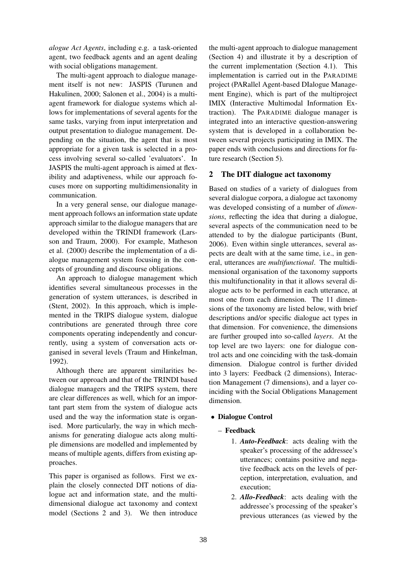*alogue Act Agents*, including e.g. a task-oriented agent, two feedback agents and an agent dealing with social obligations management.

The multi-agent approach to dialogue management itself is not new: JASPIS (Turunen and Hakulinen, 2000; Salonen et al., 2004) is a multiagent framework for dialogue systems which allows for implementations of several agents for the same tasks, varying from input interpretation and output presentation to dialogue management. Depending on the situation, the agent that is most appropriate for a given task is selected in a process involving several so-called 'evaluators'. In JASPIS the multi-agent approach is aimed at flexibility and adaptiveness, while our approach focuses more on supporting multidimensionality in communication.

In a very general sense, our dialogue management approach follows an information state update approach similar to the dialogue managers that are developed within the TRINDI framework (Larsson and Traum, 2000). For example, Matheson et al. (2000) describe the implementation of a dialogue management system focusing in the concepts of grounding and discourse obligations.

An approach to dialogue management which identifies several simultaneous processes in the generation of system utterances, is described in (Stent, 2002). In this approach, which is implemented in the TRIPS dialogue system, dialogue contributions are generated through three core components operating independently and concurrently, using a system of conversation acts organised in several levels (Traum and Hinkelman, 1992).

Although there are apparent similarities between our approach and that of the TRINDI based dialogue managers and the TRIPS system, there are clear differences as well, which for an important part stem from the system of dialogue acts used and the way the information state is organised. More particularly, the way in which mechanisms for generating dialogue acts along multiple dimensions are modelled and implemented by means of multiple agents, differs from existing approaches.

This paper is organised as follows. First we explain the closely connected DIT notions of dialogue act and information state, and the multidimensional dialogue act taxonomy and context model (Sections 2 and 3). We then introduce

the multi-agent approach to dialogue management (Section 4) and illustrate it by a description of the current implementation (Section 4.1). This implementation is carried out in the PARADIME project (PARallel Agent-based DIalogue Management Engine), which is part of the multiproject IMIX (Interactive Multimodal Information Extraction). The PARADIME dialogue manager is integrated into an interactive question-answering system that is developed in a collaboration between several projects participating in IMIX. The paper ends with conclusions and directions for future research (Section 5).

## 2 The DIT dialogue act taxonomy

Based on studies of a variety of dialogues from several dialogue corpora, a dialogue act taxonomy was developed consisting of a number of *dimensions*, reflecting the idea that during a dialogue, several aspects of the communication need to be attended to by the dialogue participants (Bunt, 2006). Even within single utterances, several aspects are dealt with at the same time, i.e., in general, utterances are *multifunctional*. The multidimensional organisation of the taxonomy supports this multifunctionality in that it allows several dialogue acts to be performed in each utterance, at most one from each dimension. The 11 dimensions of the taxonomy are listed below, with brief descriptions and/or specific dialogue act types in that dimension. For convenience, the dimensions are further grouped into so-called *layers*. At the top level are two layers: one for dialogue control acts and one coinciding with the task-domain dimension. Dialogue control is further divided into 3 layers: Feedback (2 dimensions), Interaction Management (7 dimensions), and a layer coinciding with the Social Obligations Management dimension.

## • Dialogue Control

## – Feedback

- 1. *Auto-Feedback*: acts dealing with the speaker's processing of the addressee's utterances; contains positive and negative feedback acts on the levels of perception, interpretation, evaluation, and execution;
- 2. *Allo-Feedback*: acts dealing with the addressee's processing of the speaker's previous utterances (as viewed by the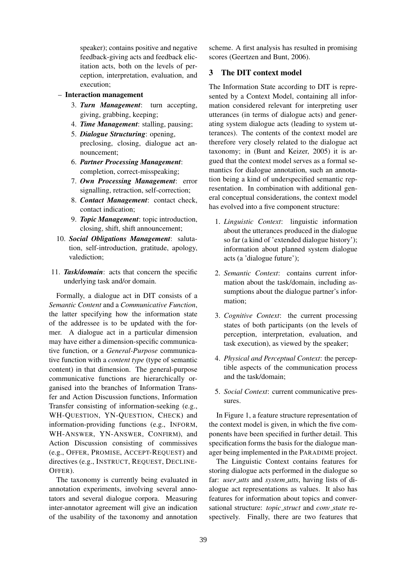speaker); contains positive and negative feedback-giving acts and feedback elicitation acts, both on the levels of perception, interpretation, evaluation, and execution;

## – Interaction management

- 3. *Turn Management*: turn accepting, giving, grabbing, keeping;
- 4. *Time Management*: stalling, pausing;
- 5. *Dialogue Structuring*: opening, preclosing, closing, dialogue act announcement;
- 6. *Partner Processing Management*: completion, correct-misspeaking;
- 7. *Own Processing Management*: error signalling, retraction, self-correction;
- 8. *Contact Management*: contact check, contact indication;
- 9. *Topic Management*: topic introduction, closing, shift, shift announcement;
- 10. *Social Obligations Management*: salutation, self-introduction, gratitude, apology, valediction;
- 11. *Task/domain*: acts that concern the specific underlying task and/or domain.

Formally, a dialogue act in DIT consists of a *Semantic Content* and a *Communicative Function*, the latter specifying how the information state of the addressee is to be updated with the former. A dialogue act in a particular dimension may have either a dimension-specific communicative function, or a *General-Purpose* communicative function with a *content type* (type of semantic content) in that dimension. The general-purpose communicative functions are hierarchically organised into the branches of Information Transfer and Action Discussion functions, Information Transfer consisting of information-seeking (e.g., WH-QUESTION, YN-QUESTION, CHECK) and information-providing functions (e.g., INFORM, WH-ANSWER, YN-ANSWER, CONFIRM), and Action Discussion consisting of commissives (e.g., OFFER, PROMISE, ACCEPT-REQUEST) and directives (e.g., INSTRUCT, REQUEST, DECLINE-OFFER).

The taxonomy is currently being evaluated in annotation experiments, involving several annotators and several dialogue corpora. Measuring inter-annotator agreement will give an indication of the usability of the taxonomy and annotation

scheme. A first analysis has resulted in promising scores (Geertzen and Bunt, 2006).

## 3 The DIT context model

The Information State according to DIT is represented by a Context Model, containing all information considered relevant for interpreting user utterances (in terms of dialogue acts) and generating system dialogue acts (leading to system utterances). The contents of the context model are therefore very closely related to the dialogue act taxonomy; in (Bunt and Keizer, 2005) it is argued that the context model serves as a formal semantics for dialogue annotation, such an annotation being a kind of underspecified semantic representation. In combination with additional general conceptual considerations, the context model has evolved into a five component structure:

- 1. *Linguistic Context*: linguistic information about the utterances produced in the dialogue so far (a kind of 'extended dialogue history'); information about planned system dialogue acts (a 'dialogue future');
- 2. *Semantic Context*: contains current information about the task/domain, including assumptions about the dialogue partner's information;
- 3. *Cognitive Context*: the current processing states of both participants (on the levels of perception, interpretation, evaluation, and task execution), as viewed by the speaker;
- 4. *Physical and Perceptual Context*: the perceptible aspects of the communication process and the task/domain;
- 5. *Social Context*: current communicative pressures.

In Figure 1, a feature structure representation of the context model is given, in which the five components have been specified in further detail. This specification forms the basis for the dialogue manager being implemented in the PARADIME project.

The Linguistic Context contains features for storing dialogue acts performed in the dialogue so far: *user utts* and *system utts*, having lists of dialogue act representations as values. It also has features for information about topics and conversational structure: *topic struct* and *conv state* respectively. Finally, there are two features that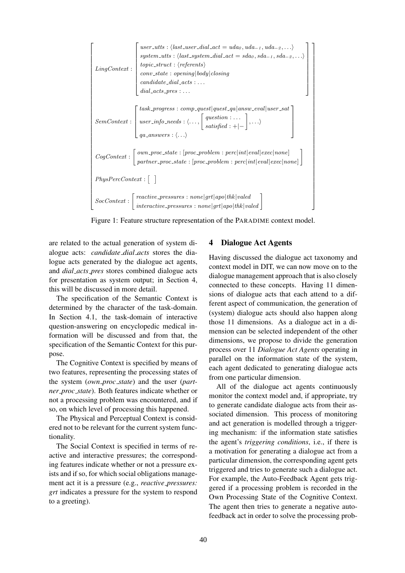| LingContext:    | $user\_utts: \langle last\_user\_dial\_act = uda_0, uda_{-1}, uda_{-2}, \ldots \rangle$<br>$system\_utts: \langle last\_system\_dial\_act = sda_0, sda_{-1}, sda_{-2}, \ldots \rangle$<br>$topic\_struct : \langle referents \rangle$<br>$conv\_state : opening body  closing$<br>$candidate\_dial\_acts : \ldots$<br>$dial\_acts\_pres: $ |  |  |
|-----------------|--------------------------------------------------------------------------------------------------------------------------------------------------------------------------------------------------------------------------------------------------------------------------------------------------------------------------------------------|--|--|
|                 | $task\_progress: comp\_\textit{quest}\_\textit{quest}\_\textit{q}a answ\_\textit{eval}\_\textit{user}\_\textit{sat}$<br>$\label{eq:semContext} \textit{SemContext}: \left[ \textit{user_info\_needs} : \langle \dots, \left[ \textit{question} : \dots \right] \rangle, \dots \rangle \right]$                                             |  |  |
|                 | $CogContext: \left[ \begin{array}{l} own\_proc\_state : [proc\_problem : perc int eval exec none] \\ partner\_proc\_state : [proc\_problem : perc int eval exec none] \end{array} \right]$                                                                                                                                                 |  |  |
| PhysPerContent: |                                                                                                                                                                                                                                                                                                                                            |  |  |
|                 |                                                                                                                                                                                                                                                                                                                                            |  |  |

Figure 1: Feature structure representation of the PARADIME context model.

are related to the actual generation of system dialogue acts: *candidate dial acts* stores the dialogue acts generated by the dialogue act agents, and *dial acts pres* stores combined dialogue acts for presentation as system output; in Section 4, this will be discussed in more detail.

The specification of the Semantic Context is determined by the character of the task-domain. In Section 4.1, the task-domain of interactive question-answering on encyclopedic medical information will be discussed and from that, the specification of the Semantic Context for this purpose.

The Cognitive Context is specified by means of two features, representing the processing states of the system (*own proc state*) and the user (*partner proc state*). Both features indicate whether or not a processing problem was encountered, and if so, on which level of processing this happened.

The Physical and Perceptual Context is considered not to be relevant for the current system functionality.

The Social Context is specified in terms of reactive and interactive pressures; the corresponding features indicate whether or not a pressure exists and if so, for which social obligations management act it is a pressure (e.g., *reactive pressures: grt* indicates a pressure for the system to respond to a greeting).

## 4 Dialogue Act Agents

Having discussed the dialogue act taxonomy and context model in DIT, we can now move on to the dialogue management approach that is also closely connected to these concepts. Having 11 dimensions of dialogue acts that each attend to a different aspect of communication, the generation of (system) dialogue acts should also happen along those 11 dimensions. As a dialogue act in a dimension can be selected independent of the other dimensions, we propose to divide the generation process over 11 *Dialogue Act Agents* operating in parallel on the information state of the system, each agent dedicated to generating dialogue acts from one particular dimension.

All of the dialogue act agents continuously monitor the context model and, if appropriate, try to generate candidate dialogue acts from their associated dimension. This process of monitoring and act generation is modelled through a triggering mechanism: if the information state satisfies the agent's *triggering conditions*, i.e., if there is a motivation for generating a dialogue act from a particular dimension, the corresponding agent gets triggered and tries to generate such a dialogue act. For example, the Auto-Feedback Agent gets triggered if a processing problem is recorded in the Own Processing State of the Cognitive Context. The agent then tries to generate a negative autofeedback act in order to solve the processing prob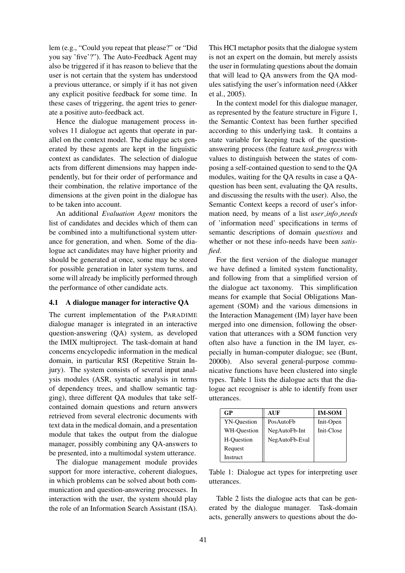lem (e.g., "Could you repeat that please?" or "Did you say 'five'?"). The Auto-Feedback Agent may also be triggered if it has reason to believe that the user is not certain that the system has understood a previous utterance, or simply if it has not given any explicit positive feedback for some time. In these cases of triggering, the agent tries to generate a positive auto-feedback act.

Hence the dialogue management process involves 11 dialogue act agents that operate in parallel on the context model. The dialogue acts generated by these agents are kept in the linguistic context as candidates. The selection of dialogue acts from different dimensions may happen independently, but for their order of performance and their combination, the relative importance of the dimensions at the given point in the dialogue has to be taken into account.

An additional *Evaluation Agent* monitors the list of candidates and decides which of them can be combined into a multifunctional system utterance for generation, and when. Some of the dialogue act candidates may have higher priority and should be generated at once, some may be stored for possible generation in later system turns, and some will already be implicitly performed through the performance of other candidate acts.

### 4.1 A dialogue manager for interactive QA

The current implementation of the PARADIME dialogue manager is integrated in an interactive question-answering (QA) system, as developed the IMIX multiproject. The task-domain at hand concerns encyclopedic information in the medical domain, in particular RSI (Repetitive Strain Injury). The system consists of several input analysis modules (ASR, syntactic analysis in terms of dependency trees, and shallow semantic tagging), three different QA modules that take selfcontained domain questions and return answers retrieved from several electronic documents with text data in the medical domain, and a presentation module that takes the output from the dialogue manager, possibly combining any QA-answers to be presented, into a multimodal system utterance.

The dialogue management module provides support for more interactive, coherent dialogues, in which problems can be solved about both communication and question-answering processes. In interaction with the user, the system should play the role of an Information Search Assistant (ISA).

This HCI metaphor posits that the dialogue system is not an expert on the domain, but merely assists the user in formulating questions about the domain that will lead to QA answers from the QA modules satisfying the user's information need (Akker et al., 2005).

In the context model for this dialogue manager, as represented by the feature structure in Figure 1, the Semantic Context has been further specified according to this underlying task. It contains a state variable for keeping track of the questionanswering process (the feature *task progress* with values to distinguish between the states of composing a self-contained question to send to the QA modules, waiting for the QA results in case a QAquestion has been sent, evaluating the QA results, and discussing the results with the user). Also, the Semantic Context keeps a record of user's information need, by means of a list *user info needs* of 'information need' specifications in terms of semantic descriptions of domain *questions* and whether or not these info-needs have been *satisfied*.

For the first version of the dialogue manager we have defined a limited system functionality, and following from that a simplified version of the dialogue act taxonomy. This simplification means for example that Social Obligations Management (SOM) and the various dimensions in the Interaction Management (IM) layer have been merged into one dimension, following the observation that utterances with a SOM function very often also have a function in the IM layer, especially in human-computer dialogue; see (Bunt, 2000b). Also several general-purpose communicative functions have been clustered into single types. Table 1 lists the dialogue acts that the dialogue act recogniser is able to identify from user utterances.

| GP                 | AUF            | <b>IM-SOM</b> |
|--------------------|----------------|---------------|
| <b>YN-Ouestion</b> | PosAutoFb      | Init-Open     |
| WH-Question        | NegAutoFb-Int  | Init-Close    |
| H-Ouestion         | NegAutoFb-Eval |               |
| Request            |                |               |
| Instruct           |                |               |

Table 1: Dialogue act types for interpreting user utterances.

Table 2 lists the dialogue acts that can be generated by the dialogue manager. Task-domain acts, generally answers to questions about the do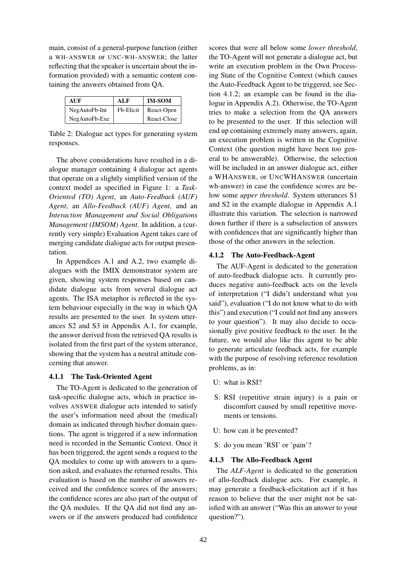main, consist of a general-purpose function (either a WH-ANSWER or UNC-WH-ANSWER; the latter reflecting that the speaker is uncertain about the information provided) with a semantic content containing the answers obtained from QA.

| AUF           | ALF       | <b>IM-SOM</b> |
|---------------|-----------|---------------|
| NegAutoFb-Int | Fb-Elicit | React-Open    |
| NegAutoFb-Exe |           | React-Close   |

Table 2: Dialogue act types for generating system responses.

The above considerations have resulted in a dialogue manager containing 4 dialogue act agents that operate on a slightly simplified version of the context model as specified in Figure 1: a *Task-Oriented (TO) Agent*, an *Auto-Feedback (AUF) Agent*, an *Allo-Feedback (AUF) Agent*, and an *Interaction Management and Social Obligations Management (IMSOM) Agent*. In addition, a (currently very simple) Evaluation Agent takes care of merging candidate dialogue acts for output presentation.

In Appendices A.1 and A.2, two example dialogues with the IMIX demonstrator system are given, showing system responses based on candidate dialogue acts from several dialogue act agents. The ISA metaphor is reflected in the system behaviour especially in the way in which QA results are presented to the user. In system utterances S2 and S3 in Appendix A.1, for example, the answer derived from the retrieved QA results is isolated from the first part of the system utterance, showing that the system has a neutral attitude concerning that answer.

### 4.1.1 The Task-Oriented Agent

The TO-Agent is dedicated to the generation of task-specific dialogue acts, which in practice involves ANSWER dialogue acts intended to satisfy the user's information need about the (medical) domain as indicated through his/her domain questions. The agent is triggered if a new information need is recorded in the Semantic Context. Once it has been triggered, the agent sends a request to the QA modules to come up with answers to a question asked, and evaluates the returned results. This evaluation is based on the number of answers received and the confidence scores of the answers; the confidence scores are also part of the output of the QA modules. If the QA did not find any answers or if the answers produced had confidence

scores that were all below some *lower threshold*, the TO-Agent will not generate a dialogue act, but write an execution problem in the Own Processing State of the Cognitive Context (which causes the Auto-Feedback Agent to be triggered, see Section 4.1.2; an example can be found in the dialogue in Appendix A.2). Otherwise, the TO-Agent tries to make a selection from the QA answers to be presented to the user. If this selection will end up containing extremely many answers, again, an execution problem is written in the Cognitive Context (the question might have been too general to be answerable). Otherwise, the selection will be included in an answer dialogue act, either a WHANSWER, or UNCWHANSWER (uncertain wh-answer) in case the confidence scores are below some *upper threshold*. System utterances S1 and S2 in the example dialogue in Appendix A.1 illustrate this variation. The selection is narrowed down further if there is a subselection of answers with confidences that are significantly higher than those of the other answers in the selection.

#### 4.1.2 The Auto-Feedback-Agent

The AUF-Agent is dedicated to the generation of auto-feedback dialogue acts. It currently produces negative auto-feedback acts on the levels of interpretation ("I didn't understand what you said"), evaluation ("I do not know what to do with this") and execution ("I could not find any answers to your question"). It may also decide to occasionally give positive feedback to the user. In the future, we would also like this agent to be able to generate articulate feedback acts, for example with the purpose of resolving reference resolution problems, as in:

- U: what is RSI?
- S: RSI (repetitive strain injury) is a pain or discomfort caused by small repetitive movements or tensions.
- U: how can it be prevented?
- S: do you mean 'RSI' or 'pain'?

### 4.1.3 The Allo-Feedback Agent

The *ALF-Agent* is dedicated to the generation of allo-feedback dialogue acts. For example, it may generate a feedback-elicitation act if it has reason to believe that the user might not be satisfied with an answer ("Was this an answer to your question?").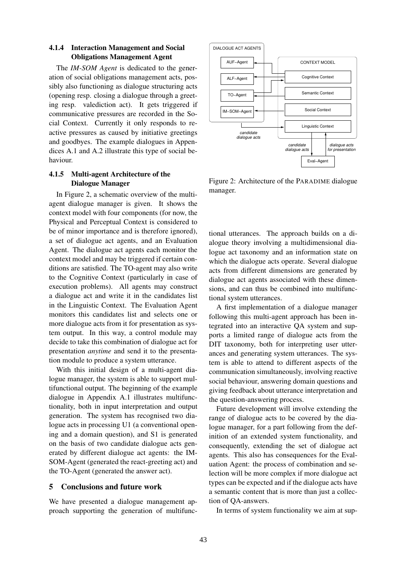## 4.1.4 Interaction Management and Social Obligations Management Agent

The *IM-SOM Agent* is dedicated to the generation of social obligations management acts, possibly also functioning as dialogue structuring acts (opening resp. closing a dialogue through a greeting resp. valediction act). It gets triggered if communicative pressures are recorded in the Social Context. Currently it only responds to reactive pressures as caused by initiative greetings and goodbyes. The example dialogues in Appendices A.1 and A.2 illustrate this type of social behaviour.

## 4.1.5 Multi-agent Architecture of the Dialogue Manager

In Figure 2, a schematic overview of the multiagent dialogue manager is given. It shows the context model with four components (for now, the Physical and Perceptual Context is considered to be of minor importance and is therefore ignored), a set of dialogue act agents, and an Evaluation Agent. The dialogue act agents each monitor the context model and may be triggered if certain conditions are satisfied. The TO-agent may also write to the Cognitive Context (particularly in case of execution problems). All agents may construct a dialogue act and write it in the candidates list in the Linguistic Context. The Evaluation Agent monitors this candidates list and selects one or more dialogue acts from it for presentation as system output. In this way, a control module may decide to take this combination of dialogue act for presentation *anytime* and send it to the presentation module to produce a system utterance.

With this initial design of a multi-agent dialogue manager, the system is able to support multifunctional output. The beginning of the example dialogue in Appendix A.1 illustrates multifunctionality, both in input interpretation and output generation. The system has recognised two dialogue acts in processing U1 (a conventional opening and a domain question), and S1 is generated on the basis of two candidate dialogue acts generated by different dialogue act agents: the IM-SOM-Agent (generated the react-greeting act) and the TO-Agent (generated the answer act).

## 5 Conclusions and future work

We have presented a dialogue management approach supporting the generation of multifunc-



Figure 2: Architecture of the PARADIME dialogue manager.

tional utterances. The approach builds on a dialogue theory involving a multidimensional dialogue act taxonomy and an information state on which the dialogue acts operate. Several dialogue acts from different dimensions are generated by dialogue act agents associated with these dimensions, and can thus be combined into multifunctional system utterances.

A first implementation of a dialogue manager following this multi-agent approach has been integrated into an interactive QA system and supports a limited range of dialogue acts from the DIT taxonomy, both for interpreting user utterances and generating system utterances. The system is able to attend to different aspects of the communication simultaneously, involving reactive social behaviour, answering domain questions and giving feedback about utterance interpretation and the question-answering process.

Future development will involve extending the range of dialogue acts to be covered by the dialogue manager, for a part following from the definition of an extended system functionality, and consequently, extending the set of dialogue act agents. This also has consequences for the Evaluation Agent: the process of combination and selection will be more complex if more dialogue act types can be expected and if the dialogue acts have a semantic content that is more than just a collection of QA-answers.

In terms of system functionality we aim at sup-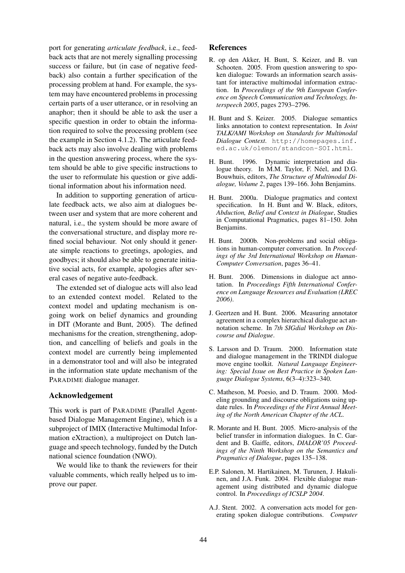port for generating *articulate feedback*, i.e., feedback acts that are not merely signalling processing success or failure, but (in case of negative feedback) also contain a further specification of the processing problem at hand. For example, the system may have encountered problems in processing certain parts of a user utterance, or in resolving an anaphor; then it should be able to ask the user a specific question in order to obtain the information required to solve the processing problem (see the example in Section 4.1.2). The articulate feedback acts may also involve dealing with problems in the question answering process, where the system should be able to give specific instructions to the user to reformulate his question or give additional information about his information need.

In addition to supporting generation of articulate feedback acts, we also aim at dialogues between user and system that are more coherent and natural, i.e., the system should be more aware of the conversational structure, and display more refined social behaviour. Not only should it generate simple reactions to greetings, apologies, and goodbyes; it should also be able to generate initiative social acts, for example, apologies after several cases of negative auto-feedback.

The extended set of dialogue acts will also lead to an extended context model. Related to the context model and updating mechanism is ongoing work on belief dynamics and grounding in DIT (Morante and Bunt, 2005). The defined mechanisms for the creation, strengthening, adoption, and cancelling of beliefs and goals in the context model are currently being implemented in a demonstrator tool and will also be integrated in the information state update mechanism of the PARADIME dialogue manager.

### Acknowledgement

This work is part of PARADIME (Parallel Agentbased Dialogue Management Engine), which is a subproject of IMIX (Interactive Multimodal Information eXtraction), a multiproject on Dutch language and speech technology, funded by the Dutch national science foundation (NWO).

We would like to thank the reviewers for their valuable comments, which really helped us to improve our paper.

#### References

- R. op den Akker, H. Bunt, S. Keizer, and B. van Schooten. 2005. From question answering to spoken dialogue: Towards an information search assistant for interactive multimodal information extraction. In *Proceedings of the 9th European Conference on Speech Communication and Technology, Interspeech 2005*, pages 2793–2796.
- H. Bunt and S. Keizer. 2005. Dialogue semantics links annotation to context representation. In *Joint TALK/AMI Workshop on Standards for Multimodal Dialogue Context*. http://homepages.inf. ed.ac.uk/olemon/standcon-SOI.html.
- H. Bunt. 1996. Dynamic interpretation and dialogue theory. In M.M. Taylor, F. Néel, and D.G. Bouwhuis, editors, *The Structure of Multimodal Dialogue, Volume 2*, pages 139–166. John Benjamins.
- H. Bunt. 2000a. Dialogue pragmatics and context specification. In H. Bunt and W. Black, editors, *Abduction, Belief and Context in Dialogue*, Studies in Computational Pragmatics, pages 81–150. John Benjamins.
- H. Bunt. 2000b. Non-problems and social obligations in human-computer conversation. In *Proceedings of the 3rd International Workshop on Human-Computer Conversation*, pages 36–41.
- H. Bunt. 2006. Dimensions in dialogue act annotation. In *Proceedings Fifth International Conference on Language Resources and Evaluation (LREC 2006)*.
- J. Geertzen and H. Bunt. 2006. Measuring annotator agreement in a complex hierarchical dialogue act annotation scheme. In *7th SIGdial Workshop on Discourse and Dialogue*.
- S. Larsson and D. Traum. 2000. Information state and dialogue management in the TRINDI dialogue move engine toolkit. *Natural Language Engineering: Special Issue on Best Practice in Spoken Language Dialogue Systems*, 6(3–4):323–340.
- C. Matheson, M. Poesio, and D. Traum. 2000. Modeling grounding and discourse obligations using update rules. In *Proceedings of the First Annual Meeting of the North American Chapter of the ACL*.
- R. Morante and H. Bunt. 2005. Micro-analysis of the belief transfer in information dialogues. In C. Gardent and B. Gaiffe, editors, *DIALOR'05 Proceedings of the Ninth Workshop on the Semantics and Pragmatics of Dialogue*, pages 135–138.
- E.P. Salonen, M. Hartikainen, M. Turunen, J. Hakulinen, and J.A. Funk. 2004. Flexible dialogue management using distributed and dynamic dialogue control. In *Proceedings of ICSLP 2004*.
- A.J. Stent. 2002. A conversation acts model for generating spoken dialogue contributions. *Computer*